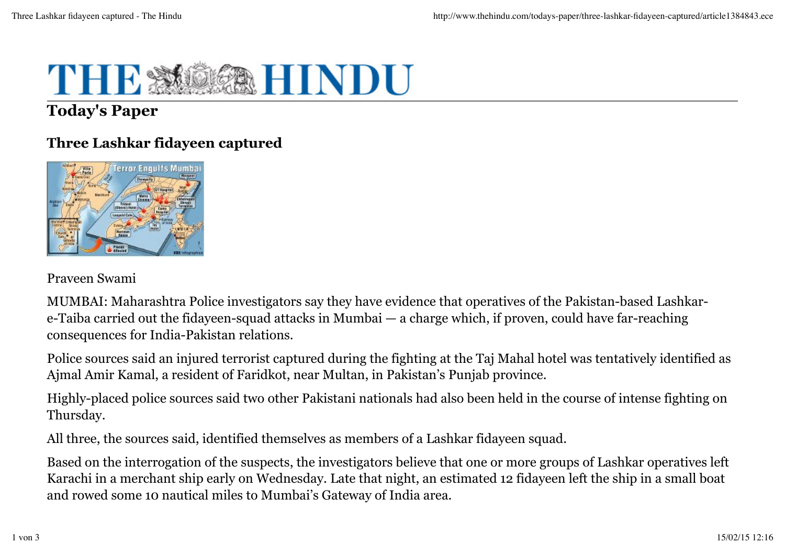

# **Today's Paper**

## **Three Lashkar fidayeen captured**



Praveen Swami

MUMBAI: Maharashtra Police investigators say they have evidence that operatives of the Pakistan-based Lashkare-Taiba carried out the fidayeen-squad attacks in Mumbai — a charge which, if proven, could have far-reaching consequences for India-Pakistan relations.

Police sources said an injured terrorist captured during the fighting at the Taj Mahal hotel was tentatively identified as Ajmal Amir Kamal, a resident of Faridkot, near Multan, in Pakistan's Punjab province.

Highly-placed police sources said two other Pakistani nationals had also been held in the course of intense fighting on Thursday.

All three, the sources said, identified themselves as members of a Lashkar fidayeen squad.

Based on the interrogation of the suspects, the investigators believe that one or more groups of Lashkar operatives left Karachi in a merchant ship early on Wednesday. Late that night, an estimated 12 fidayeen left the ship in a small boat and rowed some 10 nautical miles to Mumbai's Gateway of India area.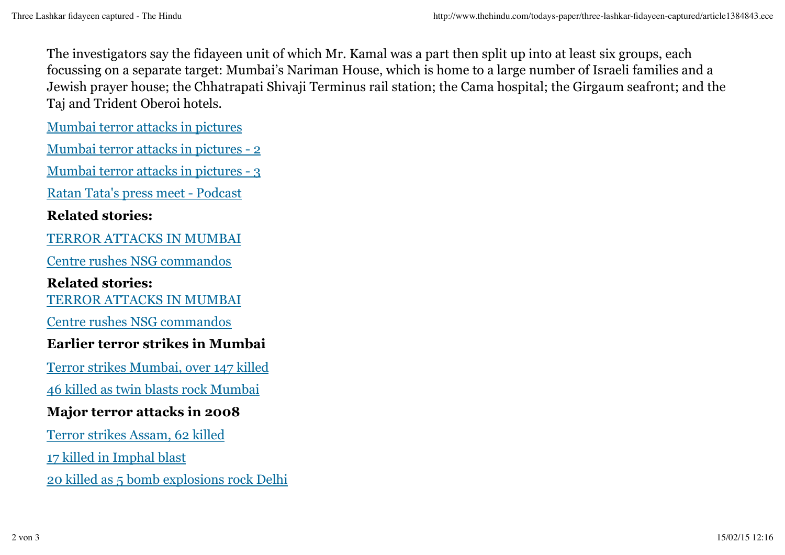The investigators say the fidayeen unit of which Mr. Kamal was a part then split up into at least six groups, each focussing on a separate target: Mumbai's Nariman House, which is home to a large number of Israeli families and a Jewish prayer house; the Chhatrapati Shivaji Terminus rail station; the Cama hospital; the Girgaum seafront; and the Taj and Trident Oberoi hotels.

Mumbai terror attacks in pictures

Mumbai terror attacks in pictures - 2

Mumbai terror attacks in pictures - 3

Ratan Tata's press meet - Podcast

#### **Related stories:**

TERROR ATTACKS IN MUMBAI

Centre rushes NSG commandos

**Related stories:** TERROR ATTACKS IN MUMBAI

Centre rushes NSG commandos

## **Earlier terror strikes in Mumbai**

Terror strikes Mumbai, over 147 killed

46 killed as twin blasts rock Mumbai

## **Major terror attacks in 2008**

Terror strikes Assam, 62 killed

17 killed in Imphal blast

20 killed as 5 bomb explosions rock Delhi